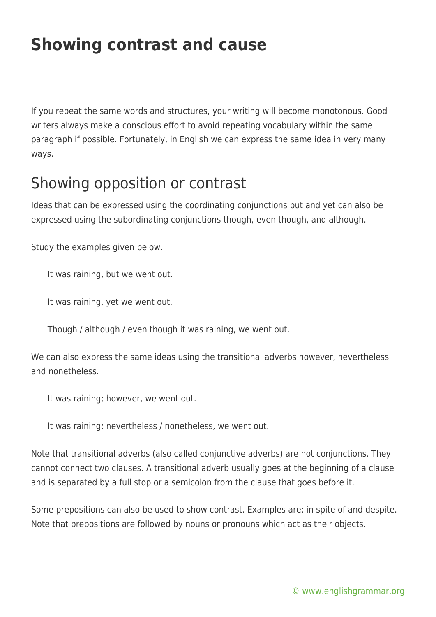# **Showing contrast and cause**

If you repeat the same words and structures, your writing will become monotonous. Good writers always make a conscious effort to avoid repeating vocabulary within the same paragraph if possible. Fortunately, in English we can express the same idea in very many ways.

### Showing opposition or contrast

Ideas that can be expressed using the coordinating conjunctions but and yet can also be expressed using the subordinating conjunctions though, even though, and although.

Study the examples given below.

It was raining, but we went out.

It was raining, yet we went out.

Though / although / even though it was raining, we went out.

We can also express the same ideas using the transitional adverbs however, nevertheless and nonetheless.

It was raining; however, we went out.

It was raining; nevertheless / nonetheless, we went out.

Note that transitional adverbs (also called conjunctive adverbs) are not conjunctions. They cannot connect two clauses. A transitional adverb usually goes at the beginning of a clause and is separated by a full stop or a semicolon from the clause that goes before it.

Some prepositions can also be used to show contrast. Examples are: in spite of and despite. Note that prepositions are followed by nouns or pronouns which act as their objects.